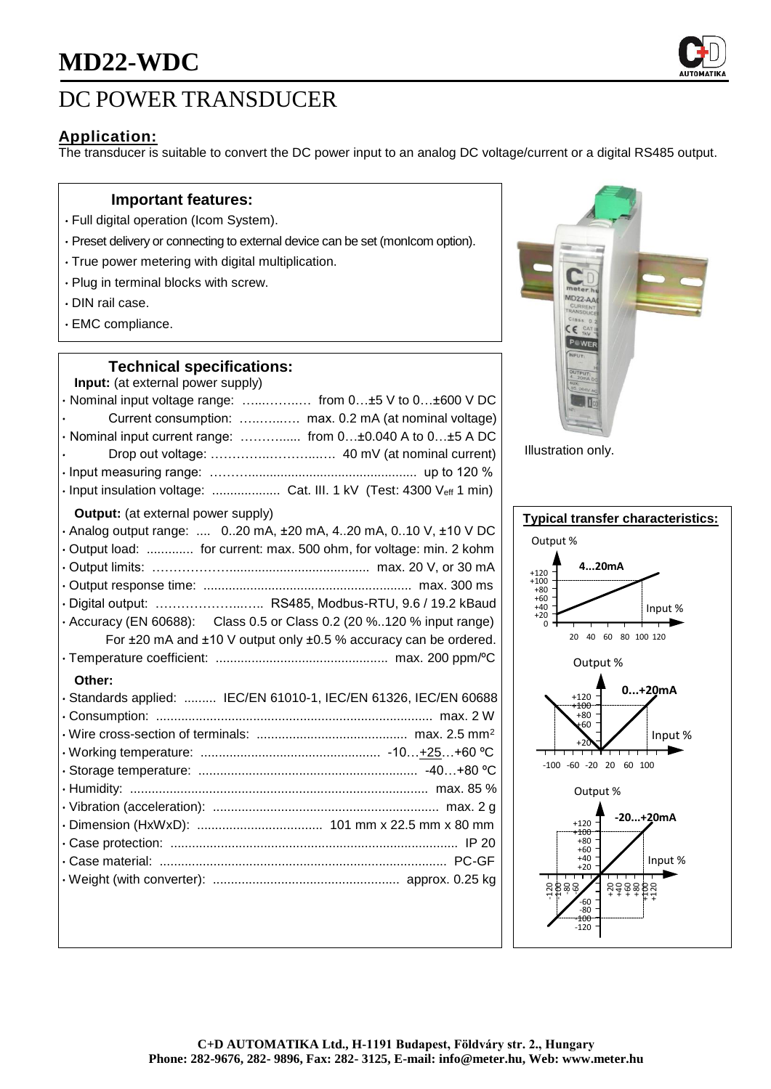

# DC POWER TRANSDUCER

# **Application:**

The transducer is suitable to convert the DC power input to an analog DC voltage/current or a digital RS485 output.

#### **Important features:**

- Full digital operation (Icom System).
- Preset delivery or connecting to external device can be set (monIcom option).
- True power metering with digital multiplication.
- Plug in terminal blocks with screw.
- DIN rail case.
- EMC compliance.

### **Technical specifications:**

| Input: (at external power supply)                                     |
|-----------------------------------------------------------------------|
| · Nominal input voltage range:  from 0±5 V to 0±600 V DC              |
| Current consumption:  max. 0.2 mA (at nominal voltage)                |
| · Nominal input current range:  from 0±0.040 A to 0±5 A DC            |
|                                                                       |
|                                                                       |
| · Input insulation voltage:  Cat. III. 1 kV (Test: 4300 Veff 1 min)   |
| <b>Output:</b> (at external power supply)                             |
| . Analog output range:  020 mA, ±20 mA, 420 mA, 010 V, ±10 V DC       |
| Output load:  for current: max. 500 ohm, for voltage: min. 2 kohm     |
|                                                                       |
|                                                                       |
| · Digital output:  RS485, Modbus-RTU, 9.6 / 19.2 kBaud                |
| · Accuracy (EN 60688): Class 0.5 or Class 0.2 (20 %120 % input range) |
| For ±20 mA and ±10 V output only ±0.5 % accuracy can be ordered.      |
|                                                                       |
| Other:                                                                |
| · Standards applied:  IEC/EN 61010-1, IEC/EN 61326, IEC/EN 60688      |
|                                                                       |
|                                                                       |
|                                                                       |
|                                                                       |
|                                                                       |
|                                                                       |
|                                                                       |
|                                                                       |
|                                                                       |
|                                                                       |
|                                                                       |



Illustration only.